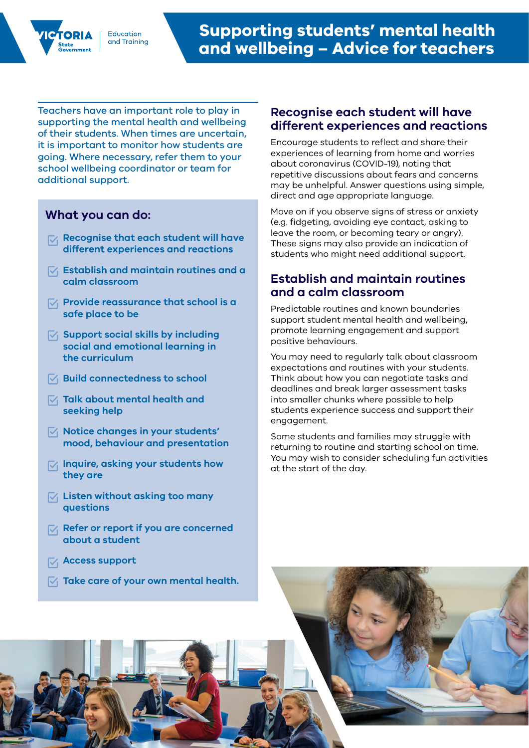Teachers have an important role to play in supporting the mental health and wellbeing of their students. When times are uncertain, it is important to monitor how students are going. Where necessary, refer them to your school wellbeing coordinator or team for additional support.

Education and Trainina

# **What you can do:**

- **Recognise that each student will have different experiences and reactions**
- **Establish and maintain routines and a calm classroom**
- **Provide reassurance that school is a safe place to be**
- **Support social skills by including social and emotional learning in the curriculum**
- $\sqrt{ }$  Build connectedness to school
- **Talk about mental health and seeking help**
- **Notice changes in your students' mood, behaviour and presentation**
- **Inquire, asking your students how they are**
- **Listen without asking too many questions**
- **Refer or report if you are concerned about a student**
- **Access support**
- **Take care of your own mental health.**

#### **Recognise each student will have different experiences and reactions**

Encourage students to reflect and share their experiences of learning from home and worries about coronavirus (COVID-19), noting that repetitive discussions about fears and concerns may be unhelpful. Answer questions using simple, direct and age appropriate language.

Move on if you observe signs of stress or anxiety (e.g. fidgeting, avoiding eye contact, asking to leave the room, or becoming teary or angry). These signs may also provide an indication of students who might need additional support.

## **Establish and maintain routines and a calm classroom**

Predictable routines and known boundaries support student mental health and wellbeing, promote learning engagement and support positive behaviours.

You may need to regularly talk about classroom expectations and routines with your students. Think about how you can negotiate tasks and deadlines and break larger assessment tasks into smaller chunks where possible to help students experience success and support their engagement.

Some students and families may struggle with returning to routine and starting school on time. You may wish to consider scheduling fun activities at the start of the day.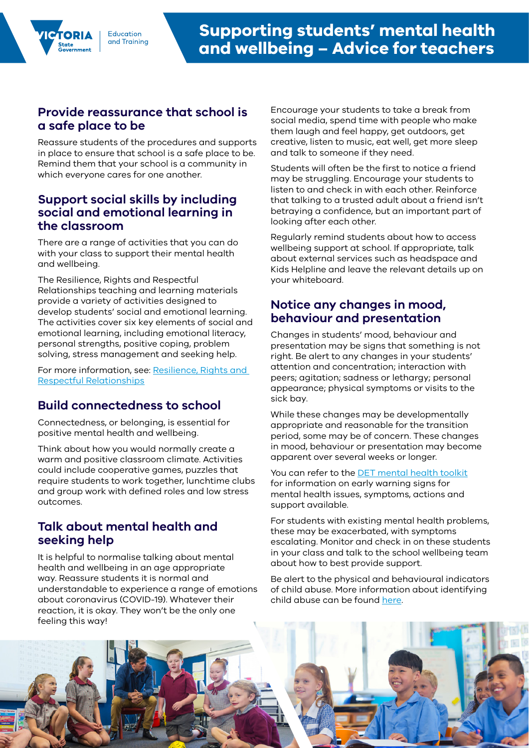#### **Provide reassurance that school is a safe place to be**

Reassure students of the procedures and supports in place to ensure that school is a safe place to be. Remind them that your school is a community in which everyone cares for one another.

#### **Support social skills by including social and emotional learning in the classroom**

There are a range of activities that you can do with your class to support their mental health and wellbeing.

The Resilience, Rights and Respectful Relationships teaching and learning materials provide a variety of activities designed to develop students' social and emotional learning. The activities cover six key elements of social and emotional learning, including emotional literacy, personal strengths, positive coping, problem solving, stress management and seeking help.

For more information, see: Resilience, Rights and [Respectful Relationships](http://fuse.education.vic.gov.au/ResourcePackage/ByPin?pin=2JZX4R)

## **Build connectedness to school**

Connectedness, or belonging, is essential for positive mental health and wellbeing.

Think about how you would normally create a warm and positive classroom climate. Activities could include cooperative games, puzzles that require students to work together, lunchtime clubs and group work with defined roles and low stress outcomes.

#### **Talk about mental health and seeking help**

It is helpful to normalise talking about mental health and wellbeing in an age appropriate way. Reassure students it is normal and understandable to experience a range of emotions about coronavirus (COVID-19). Whatever their reaction, it is okay. They won't be the only one feeling this way!

Encourage your students to take a break from social media, spend time with people who make them laugh and feel happy, get outdoors, get creative, listen to music, eat well, get more sleep and talk to someone if they need.

Students will often be the first to notice a friend may be struggling. Encourage your students to listen to and check in with each other. Reinforce that talking to a trusted adult about a friend isn't betraying a confidence, but an important part of looking after each other.

Regularly remind students about how to access wellbeing support at school. If appropriate, talk about external services such as headspace and Kids Helpline and leave the relevant details up on your whiteboard.

## **Notice any changes in mood, behaviour and presentation**

Changes in students' mood, behaviour and presentation may be signs that something is not right. Be alert to any changes in your students' attention and concentration; interaction with peers; agitation; sadness or lethargy; personal appearance; physical symptoms or visits to the sick bay.

While these changes may be developmentally appropriate and reasonable for the transition period, some may be of concern. These changes in mood, behaviour or presentation may become apparent over several weeks or longer.

You can refer to the [DET mental health toolkit](https://www.education.vic.gov.au/school/teachers/health/mentalhealth/Pages/mentalhealthtoolkit.aspx) for information on early warning signs for mental health issues, symptoms, actions and support available.

For students with existing mental health problems, these may be exacerbated, with symptoms escalating. Monitor and check in on these students in your class and talk to the school wellbeing team about how to best provide support.

Be alert to the physical and behavioural indicators of child abuse. More information about identifying child abuse can be found [here.](https://www.education.vic.gov.au/school/teachers/health/childprotection/Pages/identify.aspx)